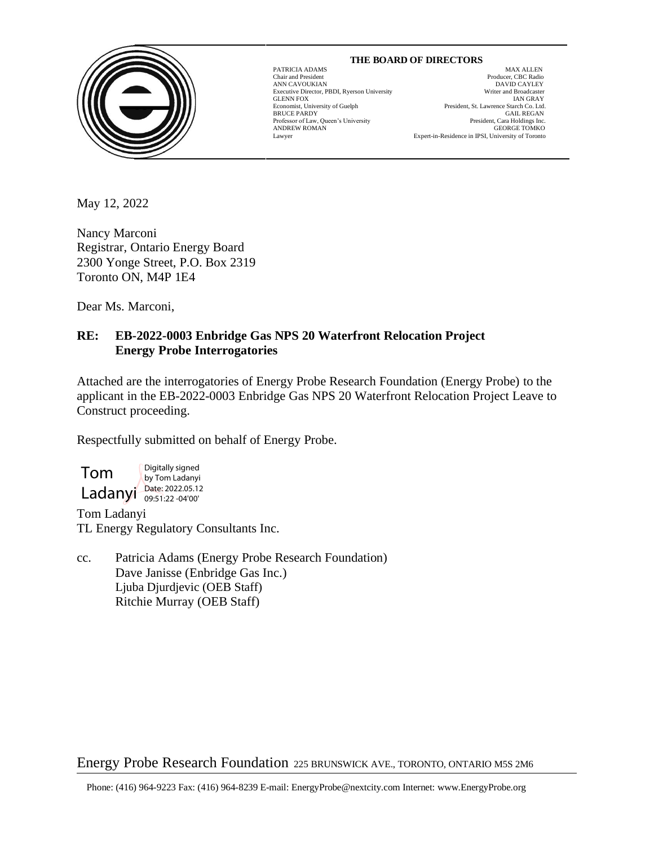

#### **THE BOARD OF DIRECTORS**

GLENN FOX<br>GLENN FOX<br>Economist, University of Guelph

 $\overline{a}$ 

PATRICIA ADAMS MAX ALLEN Chair and President Producer, CBC Radio ANN CAVOUKIAN<br>
Executive Director. PBDI. Ryerson University<br>
Executive Director. PBDI. Ryerson University<br>
Uniter and Broadcaster Executive Director, PBDI, Ryerson University Writer and Broadcaster President, St. Lawrence Starch Co. Ltd. BRUCE PARDY GAIL REGAN Frofessor of Law, Queen's University resident of the President, Cara Holdings Inc. Professor of Law, Queen's University President, Cara Holdings Inc.<br>ANDREW ROMAN GEORGE TOMKO ANDREW ROMAN GEORGE TOMKO Lawyer Expert-in-Residence in IPSI, University of Toronto

May 12, 2022

Nancy Marconi Registrar, Ontario Energy Board 2300 Yonge Street, P.O. Box 2319 Toronto ON, M4P 1E4

Dear Ms. Marconi,

# **RE: EB-2022-0003 Enbridge Gas NPS 20 Waterfront Relocation Project Energy Probe Interrogatories**

Attached are the interrogatories of Energy Probe Research Foundation (Energy Probe) to the applicant in the EB-2022-0003 Enbridge Gas NPS 20 Waterfront Relocation Project Leave to Construct proceeding.

Respectfully submitted on behalf of Energy Probe.

Tom Ladanyi Date: 2022.05.12 Digitally signed by Tom Ladanyi 09:51:22 -04'00'

Tom Ladanyi TL Energy Regulatory Consultants Inc.

cc. Patricia Adams (Energy Probe Research Foundation) Dave Janisse (Enbridge Gas Inc.) Ljuba Djurdjevic (OEB Staff) Ritchie Murray (OEB Staff)

Energy Probe Research Foundation 225 BRUNSWICK AVE., TORONTO, ONTARIO M5S 2M6